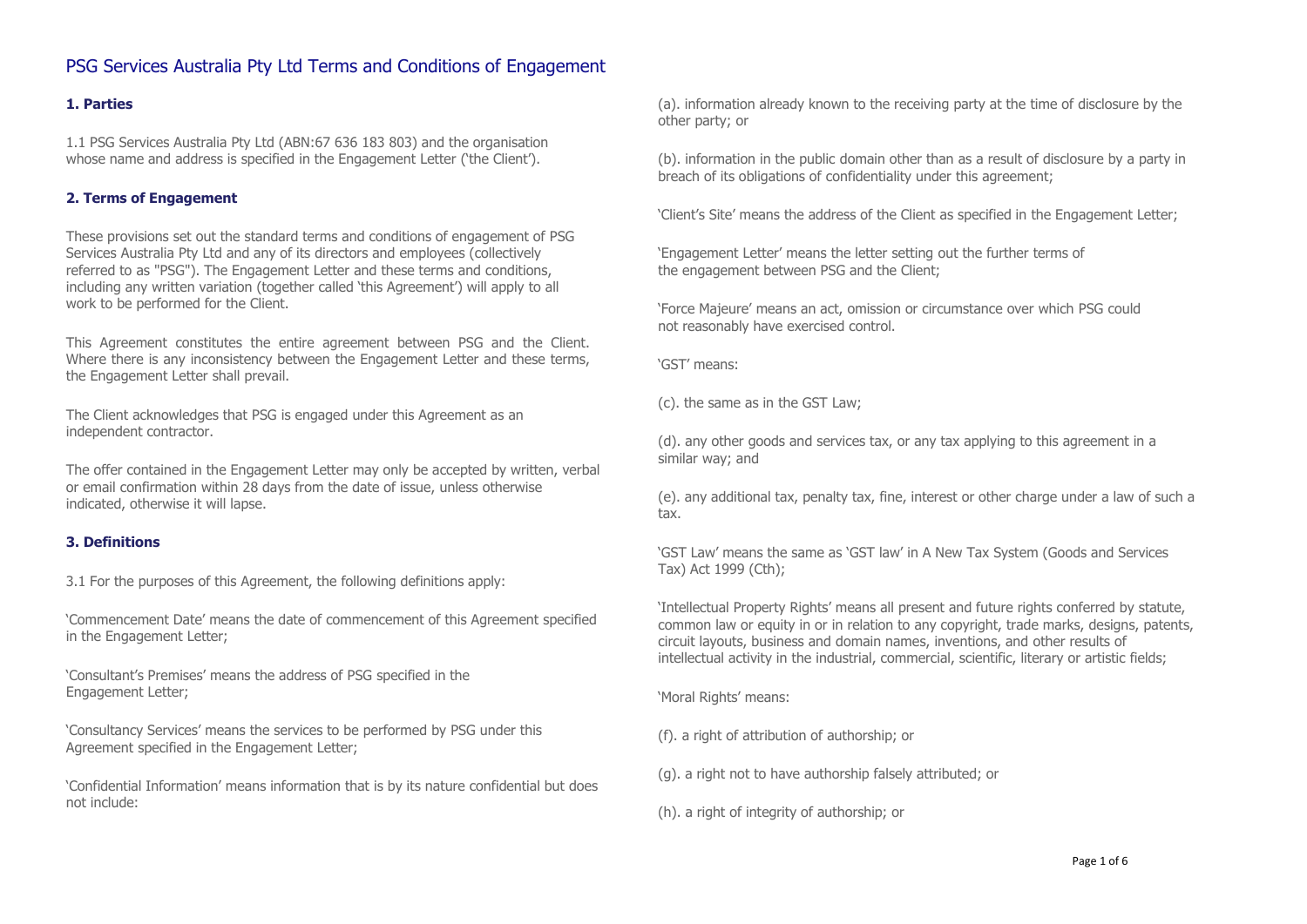## **1. Parties**

1.1 PSG Services Australia Pty Ltd (ABN:67 636 183 803) and the organisation whose name and address is specified in the Engagement Letter ('the Client').

#### **2. Terms of Engagement**

These provisions set out the standard terms and conditions of engagement of PSG Services Australia Pty Ltd and any of its directors and employees (collectively referred to as "PSG"). The Engagement Letter and these terms and conditions, including any written variation (together called 'this Agreement') will apply to all work to be performed for the Client.

This Agreement constitutes the entire agreement between PSG and the Client. Where there is any inconsistency between the Engagement Letter and these terms, the Engagement Letter shall prevail.

The Client acknowledges that PSG is engaged under this Agreement as an independent contractor.

The offer contained in the Engagement Letter may only be accepted by written, verbal or email confirmation within 28 days from the date of issue, unless otherwise indicated, otherwise it will lapse.

#### **3. Definitions**

3.1 For the purposes of this Agreement, the following definitions apply:

'Commencement Date' means the date of commencement of this Agreement specified in the Engagement Letter;

'Consultant's Premises' means the address of PSG specified in the Engagement Letter;

'Consultancy Services' means the services to be performed by PSG under this Agreement specified in the Engagement Letter;

'Confidential Information' means information that is by its nature confidential but does not include:

(a). information already known to the receiving party at the time of disclosure by the other party; or

(b). information in the public domain other than as a result of disclosure by a party in breach of its obligations of confidentiality under this agreement;

'Client's Site' means the address of the Client as specified in the Engagement Letter;

'Engagement Letter' means the letter setting out the further terms of the engagement between PSG and the Client;

'Force Majeure' means an act, omission or circumstance over which PSG could not reasonably have exercised control.

'GST' means:

(c). the same as in the GST Law;

(d). any other goods and services tax, or any tax applying to this agreement in a similar way; and

(e). any additional tax, penalty tax, fine, interest or other charge under a law of such a tax.

'GST Law' means the same as 'GST law' in A New Tax System (Goods and Services Tax) Act 1999 (Cth);

'Intellectual Property Rights' means all present and future rights conferred by statute, common law or equity in or in relation to any copyright, trade marks, designs, patents, circuit layouts, business and domain names, inventions, and other results of intellectual activity in the industrial, commercial, scientific, literary or artistic fields;

'Moral Rights' means:

(f). a right of attribution of authorship; or

(g). a right not to have authorship falsely attributed; or

(h). a right of integrity of authorship; or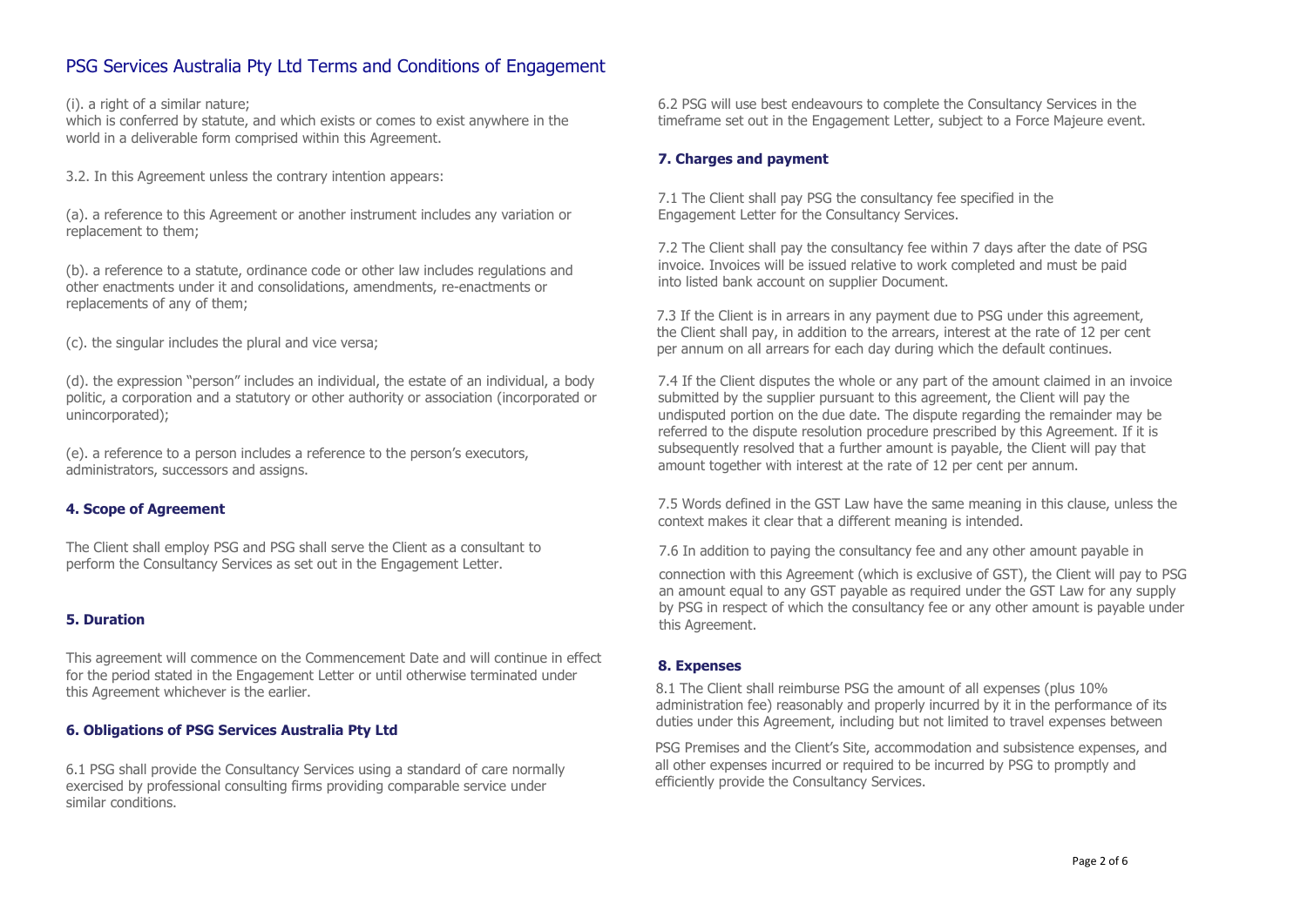(i). a right of a similar nature;

which is conferred by statute, and which exists or comes to exist anywhere in the world in a deliverable form comprised within this Agreement.

3.2. In this Agreement unless the contrary intention appears:

(a). a reference to this Agreement or another instrument includes any variation or replacement to them;

(b). a reference to a statute, ordinance code or other law includes regulations and other enactments under it and consolidations, amendments, re-enactments or replacements of any of them;

(c). the singular includes the plural and vice versa;

(d). the expression "person" includes an individual, the estate of an individual, a body politic, a corporation and a statutory or other authority or association (incorporated or unincorporated);

(e). a reference to a person includes a reference to the person's executors, administrators, successors and assigns.

## **4. Scope of Agreement**

The Client shall employ PSG and PSG shall serve the Client as a consultant to perform the Consultancy Services as set out in the Engagement Letter.

## **5. Duration**

This agreement will commence on the Commencement Date and will continue in effect for the period stated in the Engagement Letter or until otherwise terminated under this Agreement whichever is the earlier.

## **6. Obligations of PSG Services Australia Pty Ltd**

6.1 PSG shall provide the Consultancy Services using a standard of care normally exercised by professional consulting firms providing comparable service under similar conditions.

6.2 PSG will use best endeavours to complete the Consultancy Services in the timeframe set out in the Engagement Letter, subject to a Force Majeure event.

## **7. Charges and payment**

7.1 The Client shall pay PSG the consultancy fee specified in the Engagement Letter for the Consultancy Services.

7.2 The Client shall pay the consultancy fee within 7 days after the date of PSG invoice. Invoices will be issued relative to work completed and must be paid into listed bank account on supplier Document.

7.3 If the Client is in arrears in any payment due to PSG under this agreement, the Client shall pay, in addition to the arrears, interest at the rate of 12 per cent per annum on all arrears for each day during which the default continues.

7.4 If the Client disputes the whole or any part of the amount claimed in an invoice submitted by the supplier pursuant to this agreement, the Client will pay the undisputed portion on the due date. The dispute regarding the remainder may be referred to the dispute resolution procedure prescribed by this Agreement. If it is subsequently resolved that a further amount is payable, the Client will pay that amount together with interest at the rate of 12 per cent per annum.

7.5 Words defined in the GST Law have the same meaning in this clause, unless the context makes it clear that a different meaning is intended.

7.6 In addition to paying the consultancy fee and any other amount payable in

connection with this Agreement (which is exclusive of GST), the Client will pay to PSG an amount equal to any GST payable as required under the GST Law for any supply by PSG in respect of which the consultancy fee or any other amount is payable under this Agreement.

## **8. Expenses**

8.1 The Client shall reimburse PSG the amount of all expenses (plus 10% administration fee) reasonably and properly incurred by it in the performance of its duties under this Agreement, including but not limited to travel expenses between

PSG Premises and the Client's Site, accommodation and subsistence expenses, and all other expenses incurred or required to be incurred by PSG to promptly and efficiently provide the Consultancy Services.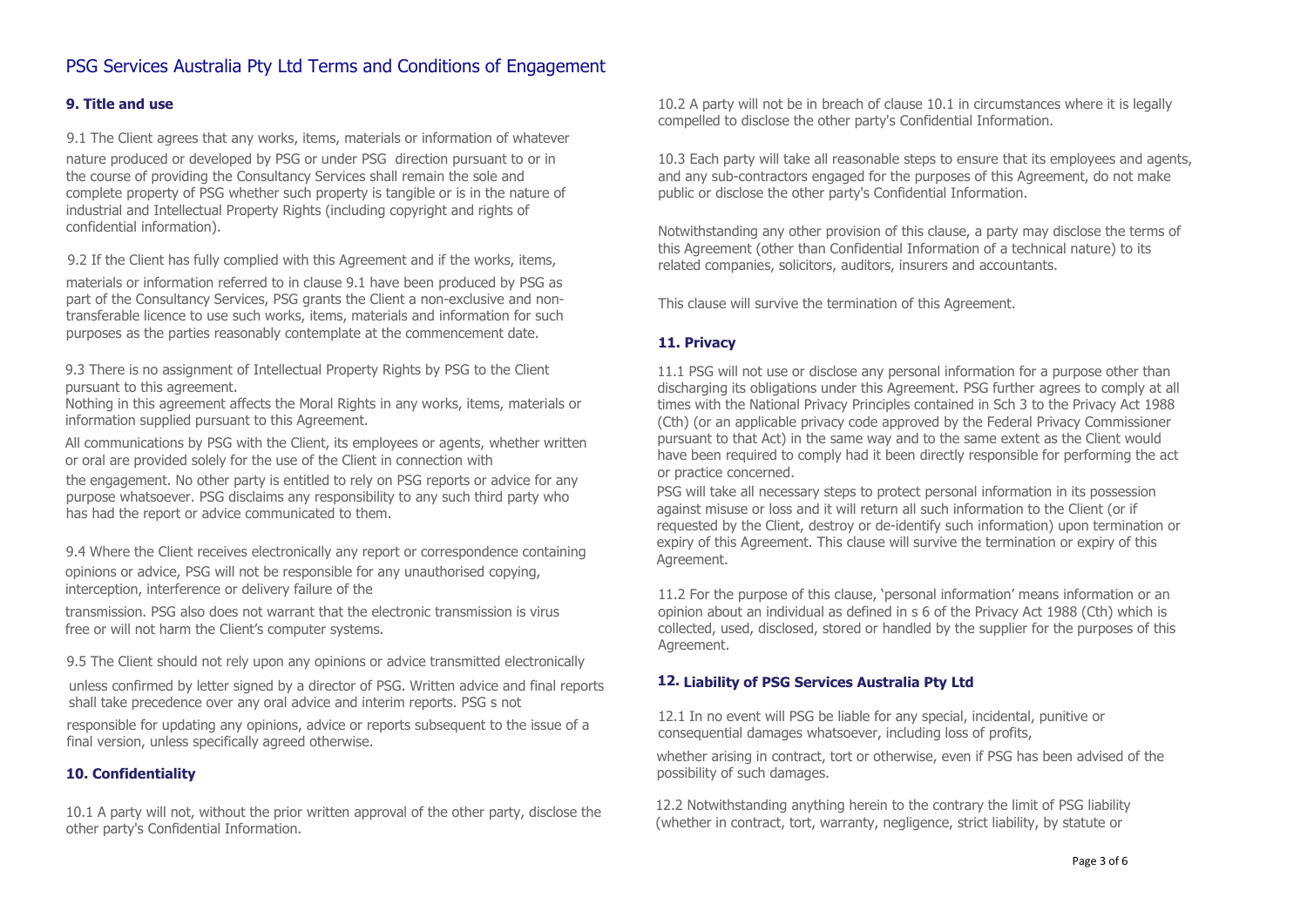## **9. Title and use**

9.1 The Client agrees that any works, items, materials or information of whatever nature produced or developed by PSG or under PSG direction pursuant to or in the course of providing the Consultancy Services shall remain the sole and complete property of PSG whether such property is tangible or is in the nature of industrial and Intellectual Property Rights (including copyright and rights of confidential information).

9.2 If the Client has fully complied with this Agreement and if the works, items,

materials or information referred to in clause 9.1 have been produced by PSG as part of the Consultancy Services, PSG grants the Client a non-exclusive and nontransferable licence to use such works, items, materials and information for such purposes as the parties reasonably contemplate at the commencement date.

9.3 There is no assignment of Intellectual Property Rights by PSG to the Client pursuant to this agreement.

Nothing in this agreement affects the Moral Rights in any works, items, materials or information supplied pursuant to this Agreement.

All communications by PSG with the Client, its employees or agents, whether written or oral are provided solely for the use of the Client in connection with

the engagement. No other party is entitled to rely on PSG reports or advice for any purpose whatsoever. PSG disclaims any responsibility to any such third party who has had the report or advice communicated to them.

9.4 Where the Client receives electronically any report or correspondence containing opinions or advice, PSG will not be responsible for any unauthorised copying, interception, interference or delivery failure of the

transmission. PSG also does not warrant that the electronic transmission is virus free or will not harm the Client's computer systems.

9.5 The Client should not rely upon any opinions or advice transmitted electronically

unless confirmed by letter signed by a director of PSG. Written advice and final reports shall take precedence over any oral advice and interim reports. PSG s not

responsible for updating any opinions, advice or reports subsequent to the issue of a final version, unless specifically agreed otherwise.

## **10. Confidentiality**

10.1 A party will not, without the prior written approval of the other party, disclose the other party's Confidential Information.

10.2 A party will not be in breach of clause 10.1 in circumstances where it is legally compelled to disclose the other party's Confidential Information.

10.3 Each party will take all reasonable steps to ensure that its employees and agents, and any sub-contractors engaged for the purposes of this Agreement, do not make public or disclose the other party's Confidential Information.

Notwithstanding any other provision of this clause, a party may disclose the terms of this Agreement (other than Confidential Information of a technical nature) to its related companies, solicitors, auditors, insurers and accountants.

This clause will survive the termination of this Agreement.

## **11. Privacy**

11.1 PSG will not use or disclose any personal information for a purpose other than discharging its obligations under this Agreement. PSG further agrees to comply at all times with the National Privacy Principles contained in Sch 3 to the Privacy Act 1988 (Cth) (or an applicable privacy code approved by the Federal Privacy Commissioner pursuant to that Act) in the same way and to the same extent as the Client would have been required to comply had it been directly responsible for performing the act or practice concerned.

PSG will take all necessary steps to protect personal information in its possession against misuse or loss and it will return all such information to the Client (or if requested by the Client, destroy or de-identify such information) upon termination or expiry of this Agreement. This clause will survive the termination or expiry of this Agreement.

11.2 For the purpose of this clause, 'personal information' means information or an opinion about an individual as defined in s 6 of the Privacy Act 1988 (Cth) which is collected, used, disclosed, stored or handled by the supplier for the purposes of this Agreement.

## **12. Liability of PSG Services Australia Pty Ltd**

12.1 In no event will PSG be liable for any special, incidental, punitive or consequential damages whatsoever, including loss of profits,

whether arising in contract, tort or otherwise, even if PSG has been advised of the possibility of such damages.

12.2 Notwithstanding anything herein to the contrary the limit of PSG liability (whether in contract, tort, warranty, negligence, strict liability, by statute or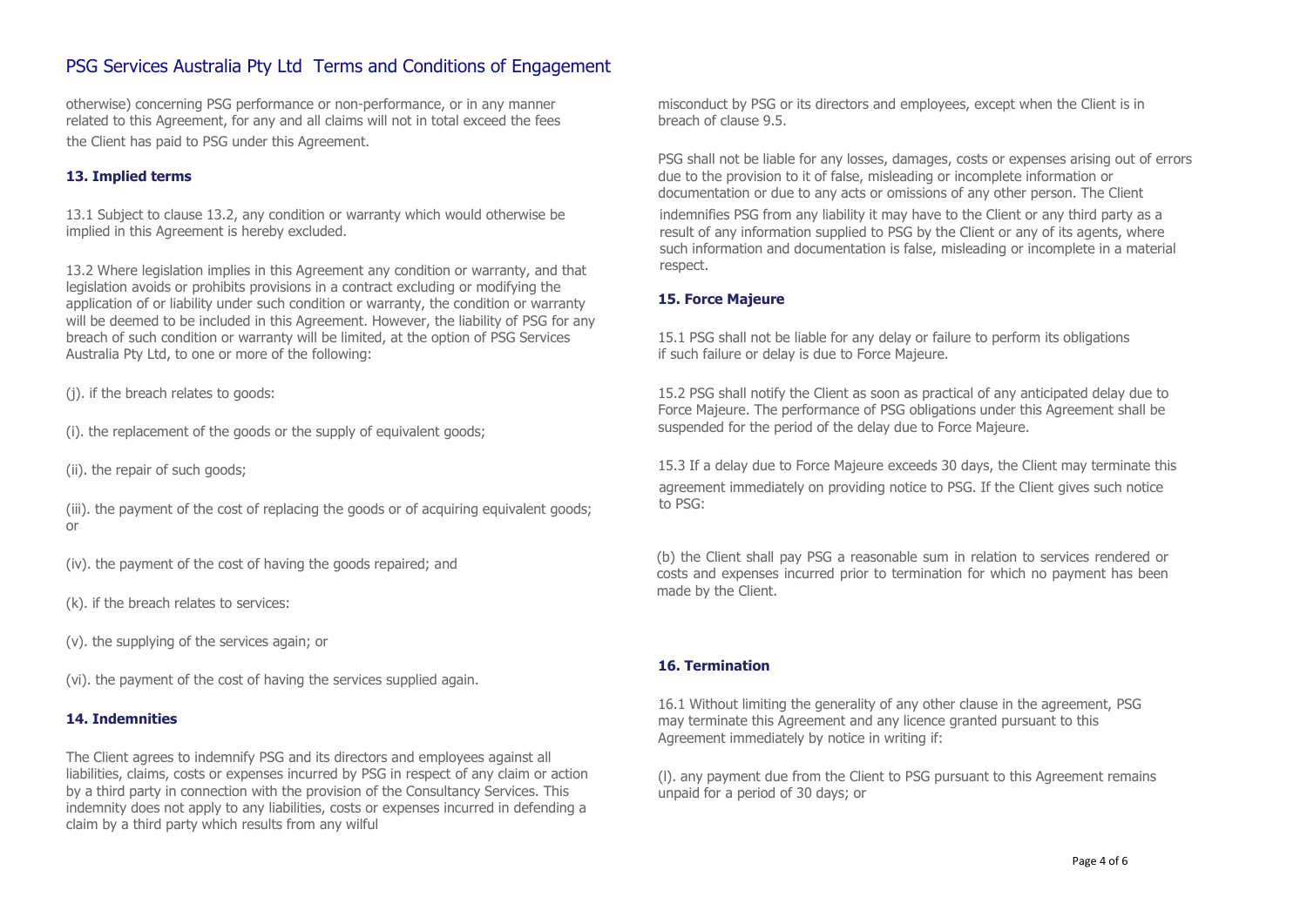otherwise) concerning PSG performance or non-performance, or in any manner related to this Agreement, for any and all claims will not in total exceed the fees the Client has paid to PSG under this Agreement.

## **13. Implied terms**

13.1 Subject to clause 13.2, any condition or warranty which would otherwise be implied in this Agreement is hereby excluded.

13.2 Where legislation implies in this Agreement any condition or warranty, and that legislation avoids or prohibits provisions in a contract excluding or modifying the application of or liability under such condition or warranty, the condition or warranty will be deemed to be included in this Agreement. However, the liability of PSG for any breach of such condition or warranty will be limited, at the option of PSG Services Australia Pty Ltd, to one or more of the following:

(j). if the breach relates to goods:

(i). the replacement of the goods or the supply of equivalent goods;

(ii). the repair of such goods;

(iii). the payment of the cost of replacing the goods or of acquiring equivalent goods; or

(iv). the payment of the cost of having the goods repaired; and

(k). if the breach relates to services:

(v). the supplying of the services again; or

(vi). the payment of the cost of having the services supplied again.

#### **14. Indemnities**

The Client agrees to indemnify PSG and its directors and employees against all liabilities, claims, costs or expenses incurred by PSG in respect of any claim or action by a third party in connection with the provision of the Consultancy Services. This indemnity does not apply to any liabilities, costs or expenses incurred in defending a claim by a third party which results from any wilful

misconduct by PSG or its directors and employees, except when the Client is in breach of clause 9.5.

PSG shall not be liable for any losses, damages, costs or expenses arising out of errors due to the provision to it of false, misleading or incomplete information or documentation or due to any acts or omissions of any other person. The Client

indemnifies PSG from any liability it may have to the Client or any third party as a result of any information supplied to PSG by the Client or any of its agents, where such information and documentation is false, misleading or incomplete in a material respect.

## **15. Force Majeure**

15.1 PSG shall not be liable for any delay or failure to perform its obligations if such failure or delay is due to Force Majeure.

15.2 PSG shall notify the Client as soon as practical of any anticipated delay due to Force Majeure. The performance of PSG obligations under this Agreement shall be suspended for the period of the delay due to Force Majeure.

15.3 If a delay due to Force Majeure exceeds 30 days, the Client may terminate this agreement immediately on providing notice to PSG. If the Client gives such notice to PSG:

(b) the Client shall pay PSG a reasonable sum in relation to services rendered or costs and expenses incurred prior to termination for which no payment has been made by the Client.

#### **16. Termination**

16.1 Without limiting the generality of any other clause in the agreement, PSG may terminate this Agreement and any licence granted pursuant to this Agreement immediately by notice in writing if:

(l). any payment due from the Client to PSG pursuant to this Agreement remains unpaid for a period of 30 days; or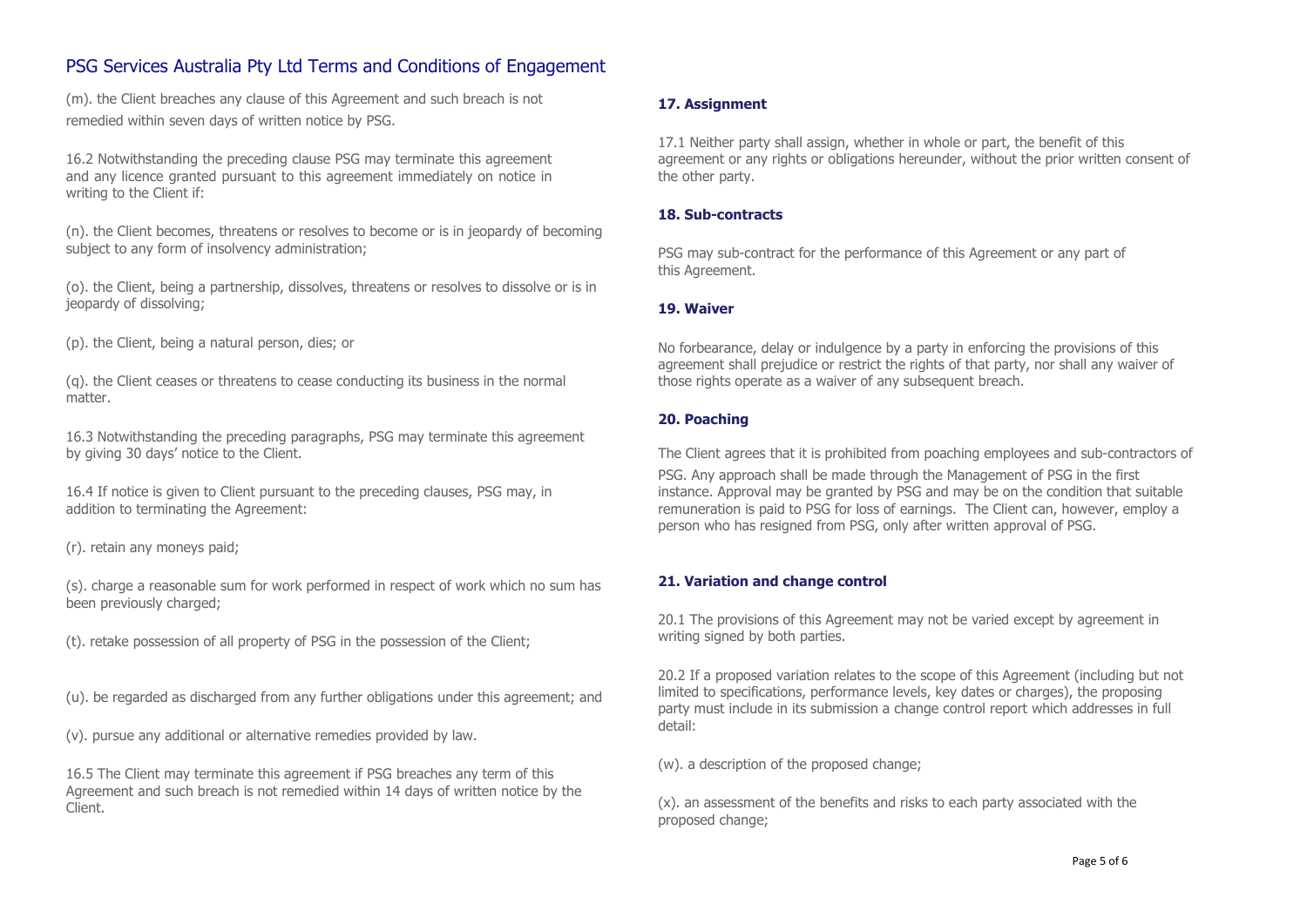(m). the Client breaches any clause of this Agreement and such breach is not remedied within seven days of written notice by PSG.

16.2 Notwithstanding the preceding clause PSG may terminate this agreement and any licence granted pursuant to this agreement immediately on notice in writing to the Client if:

(n). the Client becomes, threatens or resolves to become or is in jeopardy of becoming subject to any form of insolvency administration;

(o). the Client, being a partnership, dissolves, threatens or resolves to dissolve or is in jeopardy of dissolving;

(p). the Client, being a natural person, dies; or

(q). the Client ceases or threatens to cease conducting its business in the normal matter.

16.3 Notwithstanding the preceding paragraphs, PSG may terminate this agreement by giving 30 days' notice to the Client.

16.4 If notice is given to Client pursuant to the preceding clauses, PSG may, in addition to terminating the Agreement:

(r). retain any moneys paid;

(s). charge a reasonable sum for work performed in respect of work which no sum has been previously charged;

(t). retake possession of all property of PSG in the possession of the Client;

(u). be regarded as discharged from any further obligations under this agreement; and

(v). pursue any additional or alternative remedies provided by law.

16.5 The Client may terminate this agreement if PSG breaches any term of this Agreement and such breach is not remedied within 14 days of written notice by the Client.

## **17. Assignment**

17.1 Neither party shall assign, whether in whole or part, the benefit of this agreement or any rights or obligations hereunder, without the prior written consent of the other party.

#### **18. Sub-contracts**

PSG may sub-contract for the performance of this Agreement or any part of this Agreement.

## **19. Waiver**

No forbearance, delay or indulgence by a party in enforcing the provisions of this agreement shall prejudice or restrict the rights of that party, nor shall any waiver of those rights operate as a waiver of any subsequent breach.

## **20. Poaching**

The Client agrees that it is prohibited from poaching employees and sub-contractors of

PSG. Any approach shall be made through the Management of PSG in the first instance. Approval may be granted by PSG and may be on the condition that suitable remuneration is paid to PSG for loss of earnings. The Client can, however, employ a person who has resigned from PSG, only after written approval of PSG.

## **21. Variation and change control**

20.1 The provisions of this Agreement may not be varied except by agreement in writing signed by both parties.

20.2 If a proposed variation relates to the scope of this Agreement (including but not limited to specifications, performance levels, key dates or charges), the proposing party must include in its submission a change control report which addresses in full detail:

(w). a description of the proposed change;

(x). an assessment of the benefits and risks to each party associated with the proposed change;